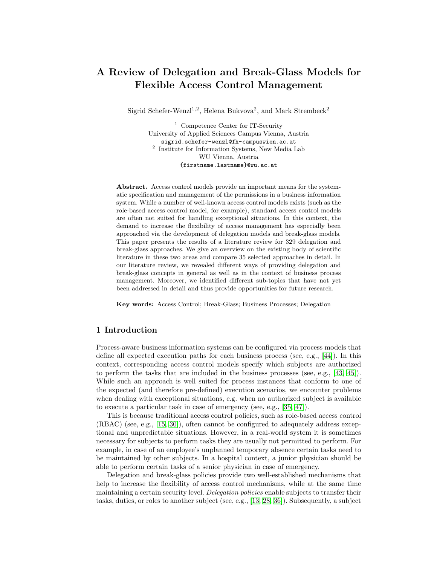# A Review of Delegation and Break-Glass Models for Flexible Access Control Management

Sigrid Schefer-Wenzl<sup>1,2</sup>, Helena Bukvova<sup>2</sup>, and Mark Strembeck<sup>2</sup>

<sup>1</sup> Competence Center for IT-Security University of Applied Sciences Campus Vienna, Austria sigrid.schefer-wenzl@fh-campuswien.ac.at 2 Institute for Information Systems, New Media Lab WU Vienna, Austria {firstname.lastname}@wu.ac.at

Abstract. Access control models provide an important means for the systematic specification and management of the permissions in a business information system. While a number of well-known access control models exists (such as the role-based access control model, for example), standard access control models are often not suited for handling exceptional situations. In this context, the demand to increase the flexibility of access management has especially been approached via the development of delegation models and break-glass models. This paper presents the results of a literature review for 329 delegation and break-glass approaches. We give an overview on the existing body of scientific literature in these two areas and compare 35 selected approaches in detail. In our literature review, we revealed different ways of providing delegation and break-glass concepts in general as well as in the context of business process management. Moreover, we identified different sub-topics that have not yet been addressed in detail and thus provide opportunities for future research.

Key words: Access Control; Break-Glass; Business Processes; Delegation

# 1 Introduction

Process-aware business information systems can be configured via process models that define all expected execution paths for each business process (see, e.g., [\[44\]](#page-11-0)). In this context, corresponding access control models specify which subjects are authorized to perform the tasks that are included in the business processes (see, e.g., [\[43,](#page-11-1) [45\]](#page-11-2)). While such an approach is well suited for process instances that conform to one of the expected (and therefore pre-defined) execution scenarios, we encounter problems when dealing with exceptional situations, e.g. when no authorized subject is available to execute a particular task in case of emergency (see, e.g., [\[35,](#page-11-3) [47\]](#page-11-4)).

This is because traditional access control policies, such as role-based access control (RBAC) (see, e.g., [\[15,](#page-10-0) [30\]](#page-10-1)), often cannot be configured to adequately address exceptional and unpredictable situations. However, in a real-world system it is sometimes necessary for subjects to perform tasks they are usually not permitted to perform. For example, in case of an employee's unplanned temporary absence certain tasks need to be maintained by other subjects. In a hospital context, a junior physician should be able to perform certain tasks of a senior physician in case of emergency.

Delegation and break-glass policies provide two well-established mechanisms that help to increase the flexibility of access control mechanisms, while at the same time maintaining a certain security level. Delegation policies enable subjects to transfer their tasks, duties, or roles to another subject (see, e.g., [\[13,](#page-10-2) [28,](#page-10-3) [36\]](#page-11-5)). Subsequently, a subject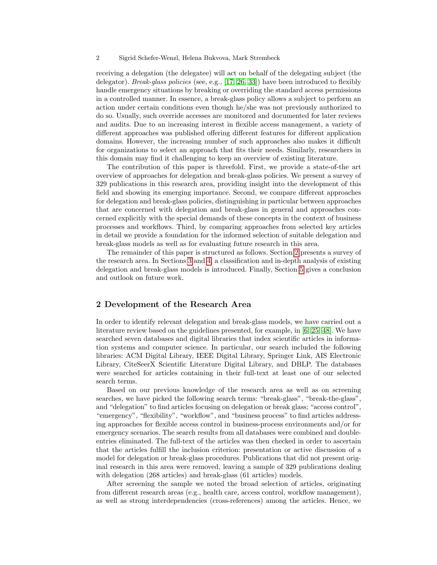#### 2 Sigrid Schefer-Wenzl, Helena Bukvova, Mark Strembeck

receiving a delegation (the delegatee) will act on behalf of the delegating subject (the delegator). Break-glass policies (see, e.g., [\[17,](#page-10-4) [26,](#page-10-5) [33\]](#page-11-6)) have been introduced to flexibly handle emergency situations by breaking or overriding the standard access permissions in a controlled manner. In essence, a break-glass policy allows a subject to perform an action under certain conditions even though he/she was not previously authorized to do so. Usually, such override accesses are monitored and documented for later reviews and audits. Due to an increasing interest in flexible access management, a variety of different approaches was published offering different features for different application domains. However, the increasing number of such approaches also makes it difficult for organizations to select an approach that fits their needs. Similarly, researchers in this domain may find it challenging to keep an overview of existing literature.

The contribution of this paper is threefold. First, we provide a state-of-the art overview of approaches for delegation and break-glass policies. We present a survey of 329 publications in this research area, providing insight into the development of this field and showing its emerging importance. Second, we compare different approaches for delegation and break-glass policies, distinguishing in particular between approaches that are concerned with delegation and break-glass in general and approaches concerned explicitly with the special demands of these concepts in the context of business processes and workflows. Third, by comparing approaches from selected key articles in detail we provide a foundation for the informed selection of suitable delegation and break-glass models as well as for evaluating future research in this area.

The remainder of this paper is structured as follows. Section [2](#page-1-0) presents a survey of the research area. In Sections [3](#page-4-0) and [4,](#page-6-0) a classification and in-depth analysis of existing delegation and break-glass models is introduced. Finally, Section [5](#page-8-0) gives a conclusion and outlook on future work.

## <span id="page-1-0"></span>2 Development of the Research Area

In order to identify relevant delegation and break-glass models, we have carried out a literature review based on the guidelines presented, for example, in [\[6,](#page-9-0) [25,](#page-10-6) [48\]](#page-11-7). We have searched seven databases and digital libraries that index scientific articles in information systems and computer science. In particular, our search included the following libraries: ACM Digital Library, IEEE Digital Library, Springer Link, AIS Electronic Library, CiteSeerX Scientific Literature Digital Library, and DBLP. The databases were searched for articles containing in their full-text at least one of our selected search terms.

Based on our previous knowledge of the research area as well as on screening searches, we have picked the following search terms: "break-glass", "break-the-glass", and "delegation" to find articles focusing on delegation or break glass; "access control", "emergency", "flexibility", "workflow", and "business process" to find articles addressing approaches for flexible access control in business-process environments and/or for emergency scenarios. The search results from all databases were combined and doubleentries eliminated. The full-text of the articles was then checked in order to ascertain that the articles fulfill the inclusion criterion: presentation or active discussion of a model for delegation or break-glass procedures. Publications that did not present original research in this area were removed, leaving a sample of 329 publications dealing with delegation (268 articles) and break-glass (61 articles) models.

After screening the sample we noted the broad selection of articles, originating from different research areas (e.g., health care, access control, workflow management), as well as strong interdependencies (cross-references) among the articles. Hence, we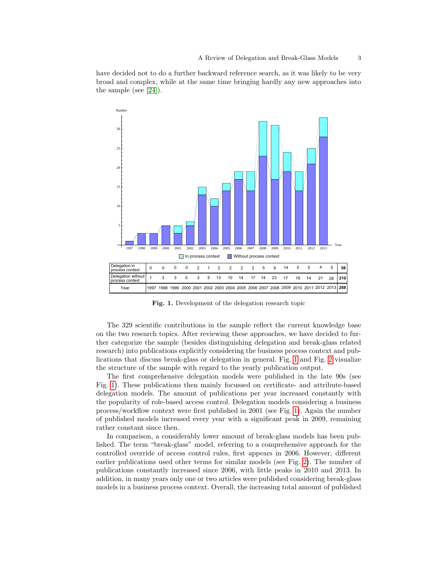have decided not to do a further backward reference search, as it was likely to be very broad and complex, while at the same time bringing hardly any new approaches into the sample (see [\[24\]](#page-10-7)).



<span id="page-2-0"></span>Fig. 1. Development of the delegation research topic

The 329 scientific contributions in the sample reflect the current knowledge base on the two research topics. After reviewing these approaches, we have decided to further categorize the sample (besides distinguishing delegation and break-glass related research) into publications explicitly considering the business process context and publications that discuss break-glass or delegation in general. Fig. [1](#page-2-0) and Fig. [2](#page-3-0) visualize the structure of the sample with regard to the yearly publication output.

The first comprehensive delegation models were published in the late 90s (see Fig. [1\)](#page-2-0). These publications then mainly focussed on certificate- and attribute-based delegation models. The amount of publications per year increased constantly with the popularity of role-based access control. Delegation models considering a business process/workflow context were first published in 2001 (see Fig. [1\)](#page-2-0). Again the number of published models increased every year with a significant peak in 2009, remaining rather constant since then.

In comparison, a considerably lower amount of break-glass models has been published. The term "break-glass" model, referring to a comprehensive approach for the controlled override of access control rules, first appears in 2006. However, different earlier publications used other terms for similar models (see Fig. [2\)](#page-3-0). The number of publications constantly increased since 2006, with little peaks in 2010 and 2013. In addition, in many years only one or two articles were published considering break-glass models in a business process context. Overall, the increasing total amount of published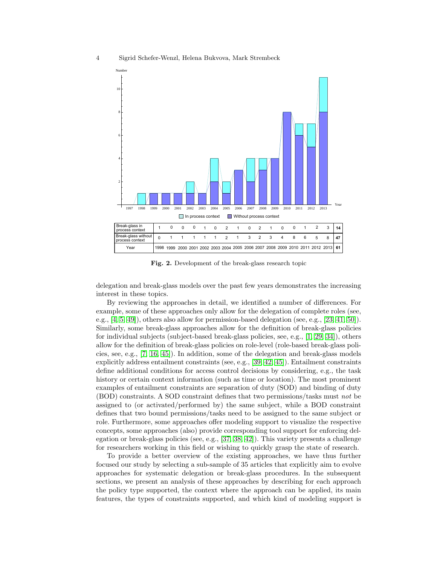

<span id="page-3-0"></span>Fig. 2. Development of the break-glass research topic

delegation and break-glass models over the past few years demonstrates the increasing interest in these topics.

By reviewing the approaches in detail, we identified a number of differences. For example, some of these approaches only allow for the delegation of complete roles (see, e.g., [\[4,](#page-9-1) [5,](#page-9-2) [49\]](#page-11-8)), others also allow for permission-based delegation (see, e.g., [\[23,](#page-10-8) [41,](#page-11-9) [50\]](#page-11-10)). Similarly, some break-glass approaches allow for the definition of break-glass policies for individual subjects (subject-based break-glass policies, see, e.g.,  $[1, 29, 34]$  $[1, 29, 34]$  $[1, 29, 34]$ ), others allow for the definition of break-glass policies on role-level (role-based break-glass policies, see, e.g., [\[7,](#page-9-4) [16,](#page-10-10) [45\]](#page-11-2)). In addition, some of the delegation and break-glass models explicitly address entailment constraints (see, e.g., [\[39,](#page-11-12) [42,](#page-11-13) [45\]](#page-11-2)). Entailment constraints define additional conditions for access control decisions by considering, e.g., the task history or certain context information (such as time or location). The most prominent examples of entailment constraints are separation of duty (SOD) and binding of duty (BOD) constraints. A SOD constraint defines that two permissions/tasks must not be assigned to (or activated/performed by) the same subject, while a BOD constraint defines that two bound permissions/tasks need to be assigned to the same subject or role. Furthermore, some approaches offer modeling support to visualize the respective concepts, some approaches (also) provide corresponding tool support for enforcing delegation or break-glass policies (see, e.g., [\[37,](#page-11-14) [38,](#page-11-15) [42\]](#page-11-13)). This variety presents a challenge for researchers working in this field or wishing to quickly grasp the state of research.

To provide a better overview of the existing approaches, we have thus further focused our study by selecting a sub-sample of 35 articles that explicitly aim to evolve approaches for systematic delegation or break-glass procedures. In the subsequent sections, we present an analysis of these approaches by describing for each approach the policy type supported, the context where the approach can be applied, its main features, the types of constraints supported, and which kind of modeling support is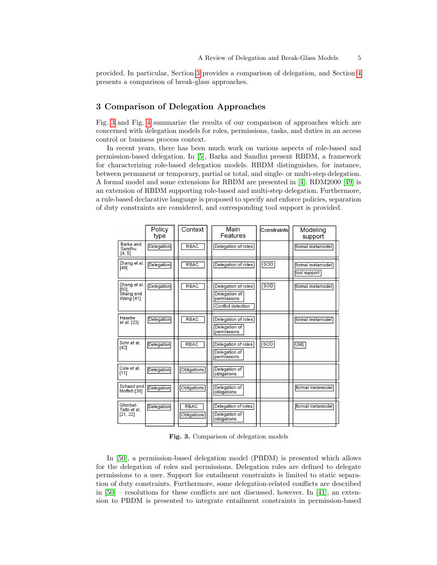provided. In particular, Section [3](#page-4-0) provides a comparison of delegation, and Section [4](#page-6-0) presents a comparison of break-glass approaches.

# <span id="page-4-0"></span>3 Comparison of Delegation Approaches

Fig. [3](#page-4-1) and Fig. [4](#page-5-0) summarize the results of our comparison of approaches which are concerned with delegation models for roles, permissions, tasks, and duties in an access control or business process context.

In recent years, there has been much work on various aspects of role-based and permission-based delegation. In [\[5\]](#page-9-2), Barka and Sandhu present RBDM, a framework for characterizing role-based delegation models. RBDM distinguishes, for instance, between permanent or temporary, partial or total, and single- or multi-step delegation. A formal model and some extensions for RBDM are presented in [\[4\]](#page-9-1). RDM2000 [\[49\]](#page-11-8) is an extension of RBDM supporting role-based and multi-step delegation. Furthermore, a rule-based declarative language is proposed to specify and enforce policies, separation of duty constraints are considered, and corresponding tool support is provided.

|                                                | Policy<br>type    | Context                    | Main<br>Features                                                          | Constraintsl | Modeling<br>support              |
|------------------------------------------------|-------------------|----------------------------|---------------------------------------------------------------------------|--------------|----------------------------------|
| Barka and<br>Sandhu<br>[4, 5]                  | Delegation        | <b>RBAC</b>                | Delegation of roles                                                       |              | formal metamodel                 |
| Zhang et al.<br>[49]                           | <b>Delegation</b> | <b>RBAC</b>                | Delegation of roles                                                       | SOD          | formal metamodel<br>tool support |
| Zhang et al.<br>[50]<br>Shang and<br>Wang [41] | <b>Delegation</b> | <b>RBAC</b>                | Delegation of roles<br>Delegation of<br>permissions<br>Conflict detection | SOD          | formal metamodel                 |
| Hasebe<br>et al. [23]                          | <b>Delegation</b> | <b>RBAC</b>                | Delegation of roles<br>Delegation of<br>permissions                       |              | formal metamodel                 |
| Sohr et al.<br>[42]                            | <b>Delegation</b> | <b>RBAC</b>                | Delegation of roles<br>Delegation of<br>permissions                       | <b>SOD</b>   | <b>UML</b>                       |
| Cole et al.<br>[11]                            | Delegation        | Obligations                | Delegation of<br>obligations                                              |              |                                  |
| Schaad and<br>Moffett [36]                     | <b>Delegation</b> | Obligations                | Delegation of<br>obligations                                              |              | formal metamodel                 |
| Ghorbel-<br>Talbi et al.<br>[21, 22]           | Delegation        | <b>RBAC</b><br>Obligations | Delegation of roles<br>Delegation of<br>obligations                       |              | formal metamodel                 |

<span id="page-4-1"></span>Fig. 3. Comparison of delegation models

In [\[50\]](#page-11-10), a permission-based delegation model (PBDM) is presented which allows for the delegation of roles and permissions. Delegation roles are defined to delegate permissions to a user. Support for entailment constraints is limited to static separation of duty constraints. Furthermore, some delegation-related conflicts are described in  $[50]$  – resolutions for these conflicts are not discussed, however. In [\[41\]](#page-11-9), an extension to PBDM is presented to integrate entailment constraints in permission-based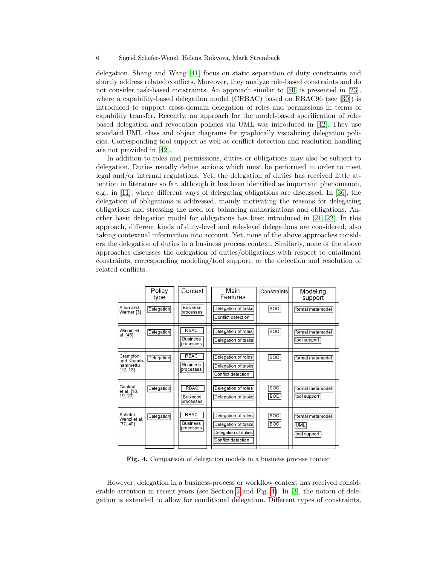#### 6 Sigrid Schefer-Wenzl, Helena Bukvova, Mark Strembeck

delegation. Shang and Wang [\[41\]](#page-11-9) focus on static separation of duty constraints and shortly address related conflicts. Moreover, they analyze role-based constraints and do not consider task-based constraints. An approach similar to [\[50\]](#page-11-10) is presented in [\[23\]](#page-10-8), where a capability-based delegation model (CRBAC) based on RBAC96 (see [\[30\]](#page-10-1)) is introduced to support cross-domain delegation of roles and permissions in terms of capability transfer. Recently, an approach for the model-based specification of rolebased delegation and revocation policies via UML was introduced in [\[42\]](#page-11-13). They use standard UML class and object diagrams for graphically visualizing delegation policies. Corresponding tool support as well as conflict detection and resolution handling are not provided in [\[42\]](#page-11-13).

In addition to roles and permissions, duties or obligations may also be subject to delegation. Duties usually define actions which must be performed in order to meet legal and/or internal regulations. Yet, the delegation of duties has received little attention in literature so far, although it has been identified as important phenomenon, e.g., in [\[11\]](#page-10-11), where different ways of delegating obligations are discussed. In [\[36\]](#page-11-5), the delegation of obligations is addressed, mainly motivating the reasons for delegating obligations and stressing the need for balancing authorizations and obligations. Another basic delegation model for obligations has been introduced in [\[21,](#page-10-12) [22\]](#page-10-13). In this approach, different kinds of duty-level and role-level delegations are considered, also taking contextual information into account. Yet, none of the above approaches considers the delegation of duties in a business process context. Similarly, none of the above approaches discusses the delegation of duties/obligations with respect to entailment constraints, corresponding modeling/tool support, or the detection and resolution of related conflicts.

|                                                | Policy<br>type    | Context                                     | Main<br>Features                                                                         | Constraintsl      | Modeling<br>support                            |
|------------------------------------------------|-------------------|---------------------------------------------|------------------------------------------------------------------------------------------|-------------------|------------------------------------------------|
| Atluri and<br>Warner [3]                       | <b>Delegation</b> | <b>Business</b><br><b>processes</b>         | Delegation of tasks<br>Conflict detection                                                | <b>SOD</b>        | formal metamodel                               |
| Wainer et<br>al. [46]                          | Delegation        | <b>RBAC</b><br><b>Business</b><br>processes | Delegation of roles<br>Delegation of tasks                                               | <b>SOD</b>        | formal metamodel<br>tool support               |
| Crampton<br>and Khamb-<br>hammettu<br>[12, 13] | <b>Delegation</b> | <b>RBAC</b><br><b>Business</b><br>processes | Delegation of roles<br>Delegation of tasks<br>Conflict detection                         | SOD               | formal metamodel                               |
| Gaaloul<br>et al. [18,<br>19, 201              | Delegation        | <b>RBAC</b><br><b>Business</b><br>processes | Delegation of roles<br>Delegation of tasks                                               | SOD<br><b>BOD</b> | formal metamodel<br>tool support               |
| Schefer-<br>Wenzl et al.<br>[37, 40]           | <b>Delegation</b> | <b>RBAC</b><br><b>Business</b><br>processes | Delegation of roles<br>Delegation of tasks<br>Delegation of duties<br>Conflict detection | SOD<br>BOD        | formal metamodel<br><b>UML</b><br>tool support |

<span id="page-5-0"></span>Fig. 4. Comparison of delegation models in a business process context

However, delegation in a business-process or workflow context has received considerable attention in recent years (see Section [2](#page-1-0) and Fig. [4\)](#page-5-0). In [\[3\]](#page-9-5), the notion of delegation is extended to allow for conditional delegation. Different types of constraints,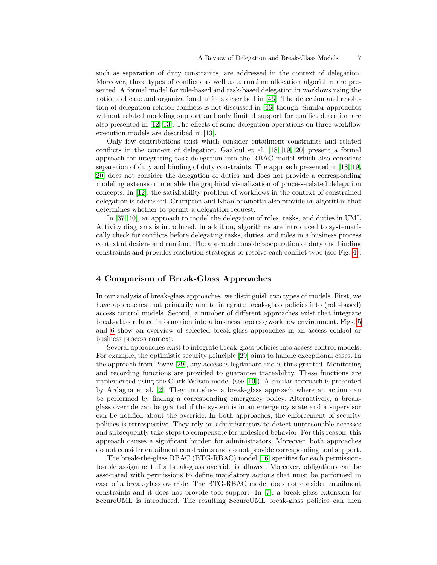such as separation of duty constraints, are addressed in the context of delegation. Moreover, three types of conflicts as well as a runtime allocation algorithm are presented. A formal model for role-based and task-based delegation in worklows using the notions of case and organizational unit is described in [\[46\]](#page-11-16). The detection and resolution of delegation-related conflicts is not discussed in [\[46\]](#page-11-16) though. Similar approaches without related modeling support and only limited support for conflict detection are also presented in [\[12,](#page-10-14) [13\]](#page-10-2). The effects of some delegation operations on three workflow execution models are described in [\[13\]](#page-10-2).

Only few contributions exist which consider entailment constraints and related conflicts in the context of delegation. Gaaloul et al. [\[18,](#page-10-15) [19,](#page-10-16) [20\]](#page-10-17) present a formal approach for integrating task delegation into the RBAC model which also considers separation of duty and binding of duty constraints. The approach presented in [\[18,](#page-10-15) [19,](#page-10-16) [20\]](#page-10-17) does not consider the delegation of duties and does not provide a corresponding modeling extension to enable the graphical visualization of process-related delegation concepts. In [\[12\]](#page-10-14), the satisfiability problem of workflows in the context of constrained delegation is addressed. Crampton and Khambhamettu also provide an algorithm that determines whether to permit a delegation request.

In [\[37,](#page-11-14) [40\]](#page-11-17), an approach to model the delegation of roles, tasks, and duties in UML Activity diagrams is introduced. In addition, algorithms are introduced to systematically check for conflicts before delegating tasks, duties, and roles in a business process context at design- and runtime. The approach considers separation of duty and binding constraints and provides resolution strategies to resolve each conflict type (see Fig. [4\)](#page-5-0).

# <span id="page-6-0"></span>4 Comparison of Break-Glass Approaches

In our analysis of break-glass approaches, we distinguish two types of models. First, we have approaches that primarily aim to integrate break-glass policies into (role-based) access control models. Second, a number of different approaches exist that integrate break-glass related information into a business process/workflow environment. Figs. [5](#page-7-0) and [6](#page-8-1) show an overview of selected break-glass approaches in an access control or business process context.

Several approaches exist to integrate break-glass policies into access control models. For example, the optimistic security principle [\[29\]](#page-10-9) aims to handle exceptional cases. In the approach from Povey [\[29\]](#page-10-9), any access is legitimate and is thus granted. Monitoring and recording functions are provided to guarantee traceability. These functions are implemented using the Clark-Wilson model (see [\[10\]](#page-9-6)). A similar approach is presented by Ardagna et al. [\[2\]](#page-9-7). They introduce a break-glass approach where an action can be performed by finding a corresponding emergency policy. Alternatively, a breakglass override can be granted if the system is in an emergency state and a supervisor can be notified about the override. In both approaches, the enforcement of security policies is retrospective. They rely on administrators to detect unreasonable accesses and subsequently take steps to compensate for undesired behavior. For this reason, this approach causes a significant burden for administrators. Moreover, both approaches do not consider entailment constraints and do not provide corresponding tool support.

The break-the-glass RBAC (BTG-RBAC) model [\[16\]](#page-10-10) specifies for each permissionto-role assignment if a break-glass override is allowed. Moreover, obligations can be associated with permissions to define mandatory actions that must be performed in case of a break-glass override. The BTG-RBAC model does not consider entailment constraints and it does not provide tool support. In [\[7\]](#page-9-4), a break-glass extension for SecureUML is introduced. The resulting SecureUML break-glass policies can then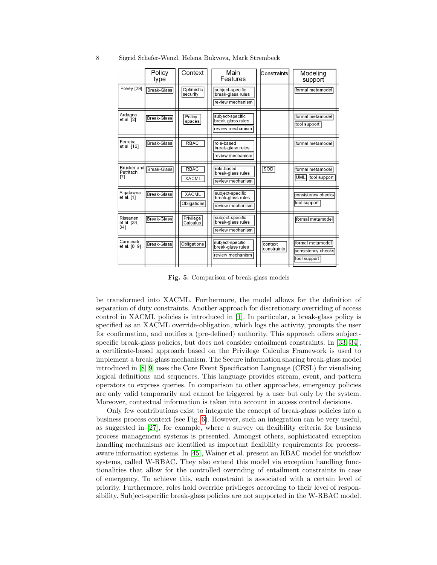|                                        | Policy<br>type     | Context                     | Main<br>Features                                          | Constraints            | Modeling<br>support                                    |
|----------------------------------------|--------------------|-----------------------------|-----------------------------------------------------------|------------------------|--------------------------------------------------------|
| Povey [29]                             | <b>Break-Glass</b> | Optimistic<br>security      | subject-specific<br>break-glass rules<br>review mechanism |                        | formal metamodel                                       |
| Ardagna<br>et al. [2]                  | <b>Break-Glass</b> | Policy<br>spaces            | subject-specific<br>break-glass rules<br>review mechanism |                        | formal metamodel<br>tool support                       |
| Ferreira<br>et al. [16]                | Break-Glass        | <b>RBAC</b>                 | role-based<br>break-glass rules<br>review mechanism       |                        | formal metamodel                                       |
| <b>Brucker</b> and<br>Petritsch<br>[7] | <b>Break-Glass</b> | <b>RBAC</b><br><b>XACML</b> | role-based<br>break-glass rules<br>review mechanism       | <b>SOD</b>             | formal metamodel<br><b>UML</b><br>tool support         |
| Algatawna<br>et al. [1]                | <b>Break-Glass</b> | <b>XACML</b><br>Obligations | subject-specific<br>break-glass rules<br>review mechanism |                        | consistency checks<br>tool support                     |
| Rissanen<br>et al. [33,<br>341         | <b>Break-Glass</b> | Privilege<br>Calculus       | subject-specific<br>break-glass rules<br>review mechanism |                        | formal metamodel                                       |
| Carminati<br>et al. [8, 9]             | <b>Break-Glass</b> | Obligations                 | subject-specific<br>break-glass rules<br>review mechanism | context<br>constraints | formal metamodel<br>consistency checks<br>tool support |

8 Sigrid Schefer-Wenzl, Helena Bukvova, Mark Strembeck

<span id="page-7-0"></span>Fig. 5. Comparison of break-glass models

be transformed into XACML. Furthermore, the model allows for the definition of separation of duty constraints. Another approach for discretionary overriding of access control in XACML policies is introduced in [\[1\]](#page-9-3). In particular, a break-glass policy is specified as an XACML override-obligation, which logs the activity, prompts the user for confirmation, and notifies a (pre-defined) authority. This approach offers subjectspecific break-glass policies, but does not consider entailment constraints. In [\[33,](#page-11-6) [34\]](#page-11-11), a certificate-based approach based on the Privilege Calculus Framework is used to implement a break-glass mechanism. The Secure information sharing break-glass model introduced in [\[8,](#page-9-8) [9\]](#page-9-9) uses the Core Event Specification Language (CESL) for visualising logical definitions and sequences. This language provides stream, event, and pattern operators to express queries. In comparison to other approaches, emergency policies are only valid temporarily and cannot be triggered by a user but only by the system. Moreover, contextual information is taken into account in access control decisions.

Only few contributions exist to integrate the concept of break-glass policies into a business process context (see Fig. [6\)](#page-8-1). However, such an integration can be very useful, as suggested in [\[27\]](#page-10-18), for example, where a survey on flexibility criteria for business process management systems is presented. Amongst others, sophisticated exception handling mechanisms are identified as important flexibility requirements for processaware information systems. In [\[45\]](#page-11-2), Wainer et al. present an RBAC model for workflow systems, called W-RBAC. They also extend this model via exception handling functionalities that allow for the controlled overriding of entailment constraints in case of emergency. To achieve this, each constraint is associated with a certain level of priority. Furthermore, roles hold override privileges according to their level of responsibility. Subject-specific break-glass policies are not supported in the W-RBAC model.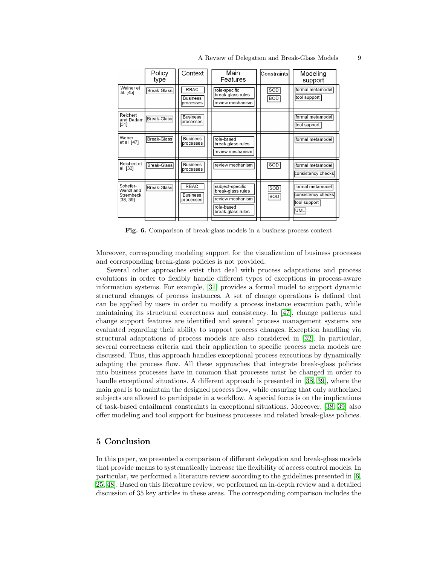|                                                | Policy<br>type     | Context                                     | Main<br>Features                                                                             | Constraintsl      | Modeling<br>support                                           |
|------------------------------------------------|--------------------|---------------------------------------------|----------------------------------------------------------------------------------------------|-------------------|---------------------------------------------------------------|
| Wainer et<br>al. [45]                          | <b>Break-Glass</b> | <b>RBAC</b><br><b>Business</b><br>processes | role-specific<br>break-glass rules<br>review mechanism                                       | SOD<br><b>BOD</b> | formal metamodel<br>tool support                              |
| Reichert<br>and Dadam<br>[31]                  | Break-Glass        | <b>Business</b><br>processes                |                                                                                              |                   | formal metamodel<br>tool support                              |
| Weber<br>et al. [47]                           | <b>Break-Glass</b> | <b>Business</b><br>processes                | role-based<br>break-glass rules<br>review mechanism                                          |                   | formal metamodel                                              |
| Reichert et<br>al. [32]                        | <b>Break-Glass</b> | <b>Business</b><br>processes                | review mechanism                                                                             | <b>SOD</b>        | formal metamodel<br>consistency checks                        |
| Schefer-<br>Wenzl and<br>Strembeck<br>[38, 39] | <b>Break-Glass</b> | <b>RBAC</b><br><b>Business</b><br>processes | subject-specific<br>break-glass rules<br>review mechanism<br>role-based<br>break-glass rules | SOD<br><b>BOD</b> | formal metamodel<br>consistency checks<br>tool support<br>UML |

<span id="page-8-1"></span>Fig. 6. Comparison of break-glass models in a business process context

Moreover, corresponding modeling support for the visualization of business processes and corresponding break-glass policies is not provided.

Several other approaches exist that deal with process adaptations and process evolutions in order to flexibly handle different types of exceptions in process-aware information systems. For example, [\[31\]](#page-10-19) provides a formal model to support dynamic structural changes of process instances. A set of change operations is defined that can be applied by users in order to modify a process instance execution path, while maintaining its structural correctness and consistency. In [\[47\]](#page-11-4), change patterns and change support features are identified and several process management systems are evaluated regarding their ability to support process changes. Exception handling via structural adaptations of process models are also considered in [\[32\]](#page-11-18). In particular, several correctness criteria and their application to specific process meta models are discussed. Thus, this approach handles exceptional process executions by dynamically adapting the process flow. All these approaches that integrate break-glass policies into business processes have in common that processes must be changed in order to handle exceptional situations. A different approach is presented in [\[38,](#page-11-15) [39\]](#page-11-12), where the main goal is to maintain the designed process flow, while ensuring that only authorized subjects are allowed to participate in a workflow. A special focus is on the implications of task-based entailment constraints in exceptional situations. Moreover, [\[38,](#page-11-15) [39\]](#page-11-12) also offer modeling and tool support for business processes and related break-glass policies.

### <span id="page-8-0"></span>5 Conclusion

In this paper, we presented a comparison of different delegation and break-glass models that provide means to systematically increase the flexibility of access control models. In particular, we performed a literature review according to the guidelines presented in [\[6,](#page-9-0) [25,](#page-10-6) [48\]](#page-11-7). Based on this literature review, we performed an in-depth review and a detailed discussion of 35 key articles in these areas. The corresponding comparison includes the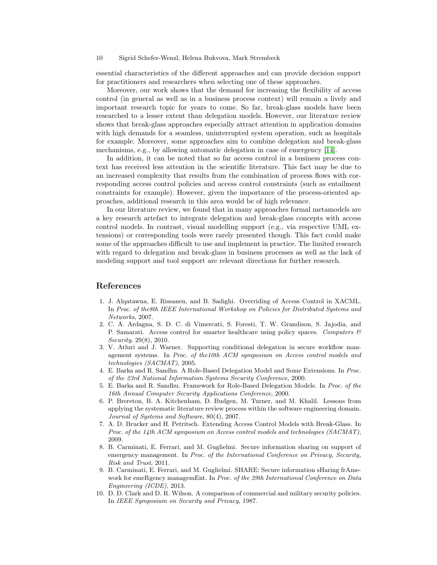#### 10 Sigrid Schefer-Wenzl, Helena Bukvova, Mark Strembeck

essential characteristics of the different approaches and can provide decision support for practitioners and researchers when selecting one of these approaches.

Moreover, our work shows that the demand for increasing the flexibility of access control (in general as well as in a business process context) will remain a lively and important research topic for years to come. So far, break-glass models have been researched to a lesser extent than delegation models. However, our literature review shows that break-glass approaches especially attract attention in application domains with high demands for a seamless, uninterrupted system operation, such as hospitals for example. Moreover, some approaches aim to combine delegation and break-glass mechanisms, e.g., by allowing automatic delegation in case of emergency [\[14\]](#page-10-20).

In addition, it can be noted that so far access control in a business process context has received less attention in the scientific literature. This fact may be due to an increased complexity that results from the combination of process flows with corresponding access control policies and access control constraints (such as entailment constraints for example). However, given the importance of the process-oriented approaches, additional research in this area would be of high relevance.

In our literature review, we found that in many approaches formal metamodels are a key research artefact to integrate delegation and break-glass concepts with access control models. In contrast, visual modelling support (e.g., via respective UML extensions) or corresponding tools were rarely presented though. This fact could make some of the approaches difficult to use and implement in practice. The limited research with regard to delegation and break-glass in business processes as well as the lack of modeling support and tool support are relevant directions for further research.

# References

- <span id="page-9-3"></span>1. J. Alqatawna, E. Rissanen, and B. Sadighi. Overriding of Access Control in XACML. In Proc. of the8th IEEE International Workshop on Policies for Distributed Systems and Networks, 2007.
- <span id="page-9-7"></span>2. C. A. Ardagna, S. D. C. di Vimercati, S. Foresti, T. W. Grandison, S. Jajodia, and P. Samarati. Access control for smarter healthcare using policy spaces. Computers  $\mathcal{C}$ Security, 29(8), 2010.
- <span id="page-9-5"></span>3. V. Atluri and J. Warner. Supporting conditional delegation in secure workflow management systems. In Proc. of the10th ACM symposium on Access control models and technologies (SACMAT), 2005.
- <span id="page-9-1"></span>4. E. Barka and R. Sandhu. A Role-Based Delegation Model and Some Extensions. In Proc. of the 23rd National Information Systems Security Conference, 2000.
- <span id="page-9-2"></span>5. E. Barka and R. Sandhu. Framework for Role-Based Delegation Models. In Proc. of the 16th Annual Computer Security Applications Conference, 2000.
- <span id="page-9-0"></span>6. P. Brereton, B. A. Kitchenham, D. Budgen, M. Turner, and M. Khalil. Lessons from applying the systematic literature review process within the software engineering domain. Journal of Systems and Software, 80(4), 2007.
- <span id="page-9-4"></span>7. A. D. Brucker and H. Petritsch. Extending Access Control Models with Break-Glass. In Proc. of the 14th ACM symposium on Access control models and technologies (SACMAT), 2009.
- <span id="page-9-8"></span>8. B. Carminati, E. Ferrari, and M. Guglielmi. Secure information sharing on support of emergency management. In Proc. of the International Conference on Privacy, Security, Risk and Trust, 2011.
- <span id="page-9-9"></span>9. B. Carminati, E. Ferrari, and M. Guglielmi. SHARE: Secure information sHaring frAmework for emeRgency managemEnt. In Proc. of the 29th International Conference on Data Engineering (ICDE), 2013.
- <span id="page-9-6"></span>10. D. D. Clark and D. R. Wilson. A comparison of commercial and military security policies. In IEEE Symposium on Security and Privacy, 1987.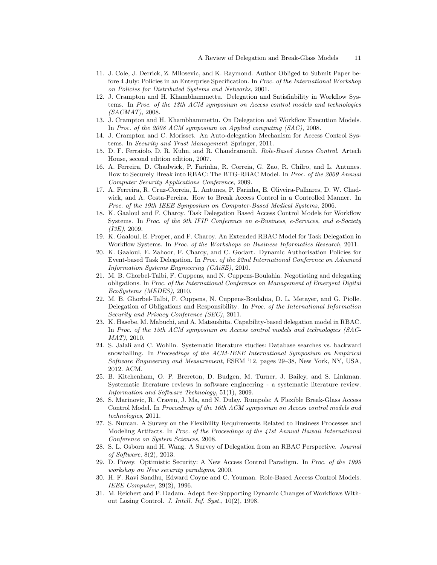- <span id="page-10-11"></span>11. J. Cole, J. Derrick, Z. Milosevic, and K. Raymond. Author Obliged to Submit Paper before 4 July: Policies in an Enterprise Specification. In Proc. of the International Workshop on Policies for Distributed Systems and Networks, 2001.
- <span id="page-10-14"></span>12. J. Crampton and H. Khambhammettu. Delegation and Satisfiability in Workflow Systems. In Proc. of the 13th ACM symposium on Access control models and technologies (SACMAT), 2008.
- <span id="page-10-2"></span>13. J. Crampton and H. Khambhammettu. On Delegation and Workflow Execution Models. In Proc. of the 2008 ACM symposium on Applied computing (SAC), 2008.
- <span id="page-10-20"></span>14. J. Crampton and C. Morisset. An Auto-delegation Mechanism for Access Control Systems. In Security and Trust Management. Springer, 2011.
- <span id="page-10-0"></span>15. D. F. Ferraiolo, D. R. Kuhn, and R. Chandramouli. Role-Based Access Control. Artech House, second edition edition, 2007.
- <span id="page-10-10"></span>16. A. Ferreira, D. Chadwick, P. Farinha, R. Correia, G. Zao, R. Chilro, and L. Antunes. How to Securely Break into RBAC: The BTG-RBAC Model. In Proc. of the 2009 Annual Computer Security Applications Conference, 2009.
- <span id="page-10-4"></span>17. A. Ferreira, R. Cruz-Correia, L. Antunes, P. Farinha, E. Oliveira-Palhares, D. W. Chadwick, and A. Costa-Pereira. How to Break Access Control in a Controlled Manner. In Proc. of the 19th IEEE Symposium on Computer-Based Medical Systems, 2006.
- <span id="page-10-15"></span>18. K. Gaaloul and F. Charoy. Task Delegation Based Access Control Models for Workflow Systems. In Proc. of the 9th IFIP Conference on e-Business, e-Services, and e-Society (I3E), 2009.
- <span id="page-10-16"></span>19. K. Gaaloul, E. Proper, and F. Charoy. An Extended RBAC Model for Task Delegation in Workflow Systems. In Proc. of the Workshops on Business Informatics Research, 2011.
- <span id="page-10-17"></span>20. K. Gaaloul, E. Zahoor, F. Charoy, and C. Godart. Dynamic Authorisation Policies for Event-based Task Delegation. In Proc. of the 22nd International Conference on Advanced Information Systems Engineering (CAiSE), 2010.
- <span id="page-10-12"></span>21. M. B. Ghorbel-Talbi, F. Cuppens, and N. Cuppens-Boulahia. Negotiating and delegating obligations. In Proc. of the International Conference on Management of Emergent Digital EcoSystems (MEDES), 2010.
- <span id="page-10-13"></span>22. M. B. Ghorbel-Talbi, F. Cuppens, N. Cuppens-Boulahia, D. L. Metayer, and G. Piolle. Delegation of Obligations and Responsibility. In Proc. of the International Information Security and Privacy Conference (SEC), 2011.
- <span id="page-10-8"></span>23. K. Hasebe, M. Mabuchi, and A. Matsushita. Capability-based delegation model in RBAC. In Proc. of the 15th ACM symposium on Access control models and technologies (SAC-MAT), 2010.
- <span id="page-10-7"></span>24. S. Jalali and C. Wohlin. Systematic literature studies: Database searches vs. backward snowballing. In Proceedings of the ACM-IEEE International Symposium on Empirical Software Engineering and Measurement, ESEM '12, pages 29–38, New York, NY, USA, 2012. ACM.
- <span id="page-10-6"></span>25. B. Kitchenham, O. P. Brereton, D. Budgen, M. Turner, J. Bailey, and S. Linkman. Systematic literature reviews in software engineering - a systematic literature review. Information and Software Technology, 51(1), 2009.
- <span id="page-10-5"></span>26. S. Marinovic, R. Craven, J. Ma, and N. Dulay. Rumpole: A Flexible Break-Glass Access Control Model. In Proceedings of the 16th ACM symposium on Access control models and technologies, 2011.
- <span id="page-10-18"></span>27. S. Nurcan. A Survey on the Flexibility Requirements Related to Business Processes and Modeling Artifacts. In Proc. of the Proceedings of the 41st Annual Hawaii International Conference on System Sciences, 2008.
- <span id="page-10-3"></span>28. S. L. Osborn and H. Wang. A Survey of Delegation from an RBAC Perspective. Journal of Software, 8(2), 2013.
- <span id="page-10-9"></span>29. D. Povey. Optimistic Security: A New Access Control Paradigm. In Proc. of the 1999 workshop on New security paradigms, 2000.
- <span id="page-10-1"></span>30. H. F. Ravi Sandhu, Edward Coyne and C. Youman. Role-Based Access Control Models. IEEE Computer, 29(2), 1996.
- <span id="page-10-19"></span>31. M. Reichert and P. Dadam. Adept flex-Supporting Dynamic Changes of Workflows Without Losing Control. J. Intell. Inf. Syst., 10(2), 1998.